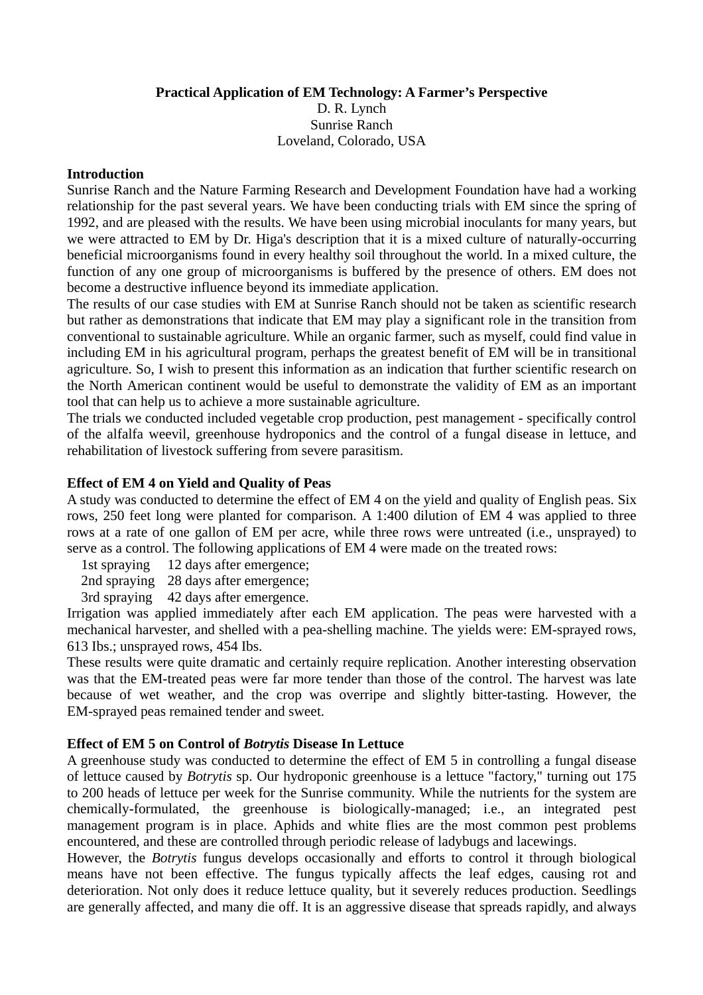**Practical Application of EM Technology: A Farmer's Perspective** 

D. R. Lynch Sunrise Ranch Loveland, Colorado, USA

### **Introduction**

Sunrise Ranch and the Nature Farming Research and Development Foundation have had a working relationship for the past several years. We have been conducting trials with EM since the spring of 1992, and are pleased with the results. We have been using microbial inoculants for many years, but we were attracted to EM by Dr. Higa's description that it is a mixed culture of naturally-occurring beneficial microorganisms found in every healthy soil throughout the world. In a mixed culture, the function of any one group of microorganisms is buffered by the presence of others. EM does not become a destructive influence beyond its immediate application.

The results of our case studies with EM at Sunrise Ranch should not be taken as scientific research but rather as demonstrations that indicate that EM may play a significant role in the transition from conventional to sustainable agriculture. While an organic farmer, such as myself, could find value in including EM in his agricultural program, perhaps the greatest benefit of EM will be in transitional agriculture. So, I wish to present this information as an indication that further scientific research on the North American continent would be useful to demonstrate the validity of EM as an important tool that can help us to achieve a more sustainable agriculture.

The trials we conducted included vegetable crop production, pest management - specifically control of the alfalfa weevil, greenhouse hydroponics and the control of a fungal disease in lettuce, and rehabilitation of livestock suffering from severe parasitism.

# **Effect of EM 4 on Yield and Quality of Peas**

A study was conducted to determine the effect of EM 4 on the yield and quality of English peas. Six rows, 250 feet long were planted for comparison. A 1:400 dilution of EM 4 was applied to three rows at a rate of one gallon of EM per acre, while three rows were untreated (i.e., unsprayed) to serve as a control. The following applications of EM 4 were made on the treated rows:

1st spraying 12 days after emergence;

2nd spraying 28 days after emergence;

3rd spraying 42 days after emergence.

Irrigation was applied immediately after each EM application. The peas were harvested with a mechanical harvester, and shelled with a pea-shelling machine. The yields were: EM-sprayed rows, 613 Ibs.; unsprayed rows, 454 Ibs.

These results were quite dramatic and certainly require replication. Another interesting observation was that the EM-treated peas were far more tender than those of the control. The harvest was late because of wet weather, and the crop was overripe and slightly bitter-tasting. However, the EM-sprayed peas remained tender and sweet.

### **Effect of EM 5 on Control of** *Botrytis* **Disease In Lettuce**

A greenhouse study was conducted to determine the effect of EM 5 in controlling a fungal disease of lettuce caused by *Botrytis* sp. Our hydroponic greenhouse is a lettuce "factory," turning out 175 to 200 heads of lettuce per week for the Sunrise community. While the nutrients for the system are chemically-formulated, the greenhouse is biologically-managed; i.e., an integrated pest management program is in place. Aphids and white flies are the most common pest problems encountered, and these are controlled through periodic release of ladybugs and lacewings.

However, the *Botrytis* fungus develops occasionally and efforts to control it through biological means have not been effective. The fungus typically affects the leaf edges, causing rot and deterioration. Not only does it reduce lettuce quality, but it severely reduces production. Seedlings are generally affected, and many die off. It is an aggressive disease that spreads rapidly, and always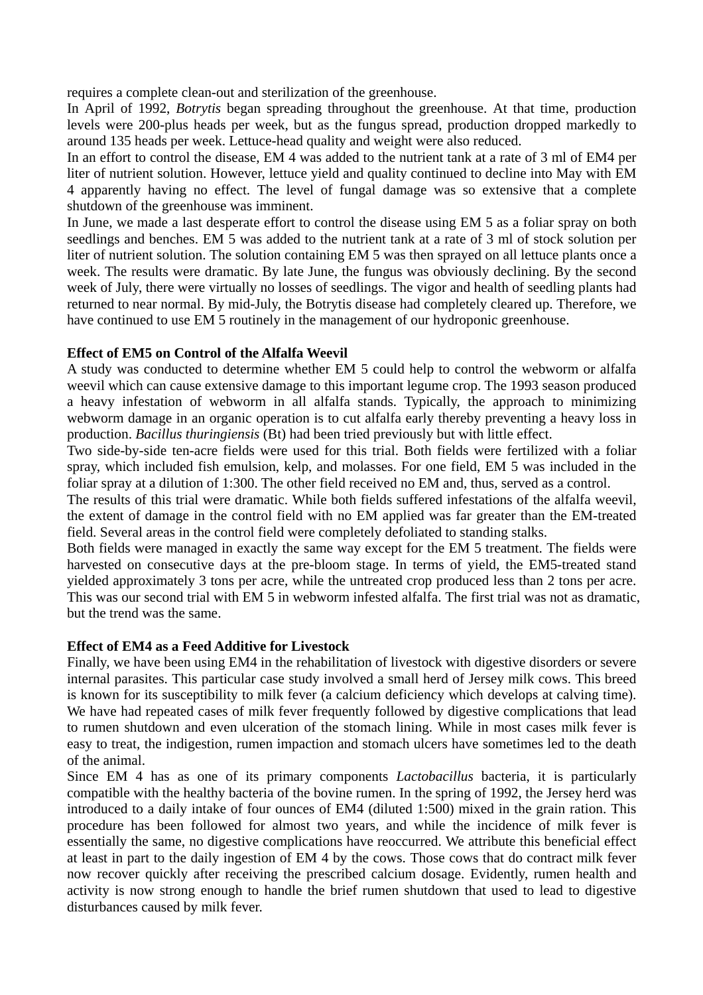requires a complete clean-out and sterilization of the greenhouse.

In April of 1992, *Botrytis* began spreading throughout the greenhouse. At that time, production levels were 200-plus heads per week, but as the fungus spread, production dropped markedly to around 135 heads per week. Lettuce-head quality and weight were also reduced.

In an effort to control the disease, EM 4 was added to the nutrient tank at a rate of 3 ml of EM4 per liter of nutrient solution. However, lettuce yield and quality continued to decline into May with EM 4 apparently having no effect. The level of fungal damage was so extensive that a complete shutdown of the greenhouse was imminent.

In June, we made a last desperate effort to control the disease using EM 5 as a foliar spray on both seedlings and benches. EM 5 was added to the nutrient tank at a rate of 3 ml of stock solution per liter of nutrient solution. The solution containing EM 5 was then sprayed on all lettuce plants once a week. The results were dramatic. By late June, the fungus was obviously declining. By the second week of July, there were virtually no losses of seedlings. The vigor and health of seedling plants had returned to near normal. By mid-July, the Botrytis disease had completely cleared up. Therefore, we have continued to use EM 5 routinely in the management of our hydroponic greenhouse.

# **Effect of EM5 on Control of the Alfalfa Weevil**

A study was conducted to determine whether EM 5 could help to control the webworm or alfalfa weevil which can cause extensive damage to this important legume crop. The 1993 season produced a heavy infestation of webworm in all alfalfa stands. Typically, the approach to minimizing webworm damage in an organic operation is to cut alfalfa early thereby preventing a heavy loss in production. *Bacillus thuringiensis* (Bt) had been tried previously but with little effect.

Two side-by-side ten-acre fields were used for this trial. Both fields were fertilized with a foliar spray, which included fish emulsion, kelp, and molasses. For one field, EM 5 was included in the foliar spray at a dilution of 1:300. The other field received no EM and, thus, served as a control.

The results of this trial were dramatic. While both fields suffered infestations of the alfalfa weevil, the extent of damage in the control field with no EM applied was far greater than the EM-treated field. Several areas in the control field were completely defoliated to standing stalks.

Both fields were managed in exactly the same way except for the EM 5 treatment. The fields were harvested on consecutive days at the pre-bloom stage. In terms of yield, the EM5-treated stand yielded approximately 3 tons per acre, while the untreated crop produced less than 2 tons per acre. This was our second trial with EM 5 in webworm infested alfalfa. The first trial was not as dramatic, but the trend was the same.

# **Effect of EM4 as a Feed Additive for Livestock**

Finally, we have been using EM4 in the rehabilitation of livestock with digestive disorders or severe internal parasites. This particular case study involved a small herd of Jersey milk cows. This breed is known for its susceptibility to milk fever (a calcium deficiency which develops at calving time). We have had repeated cases of milk fever frequently followed by digestive complications that lead to rumen shutdown and even ulceration of the stomach lining. While in most cases milk fever is easy to treat, the indigestion, rumen impaction and stomach ulcers have sometimes led to the death of the animal.

Since EM 4 has as one of its primary components *Lactobacillus* bacteria, it is particularly compatible with the healthy bacteria of the bovine rumen. In the spring of 1992, the Jersey herd was introduced to a daily intake of four ounces of EM4 (diluted 1:500) mixed in the grain ration. This procedure has been followed for almost two years, and while the incidence of milk fever is essentially the same, no digestive complications have reoccurred. We attribute this beneficial effect at least in part to the daily ingestion of EM 4 by the cows. Those cows that do contract milk fever now recover quickly after receiving the prescribed calcium dosage. Evidently, rumen health and activity is now strong enough to handle the brief rumen shutdown that used to lead to digestive disturbances caused by milk fever.